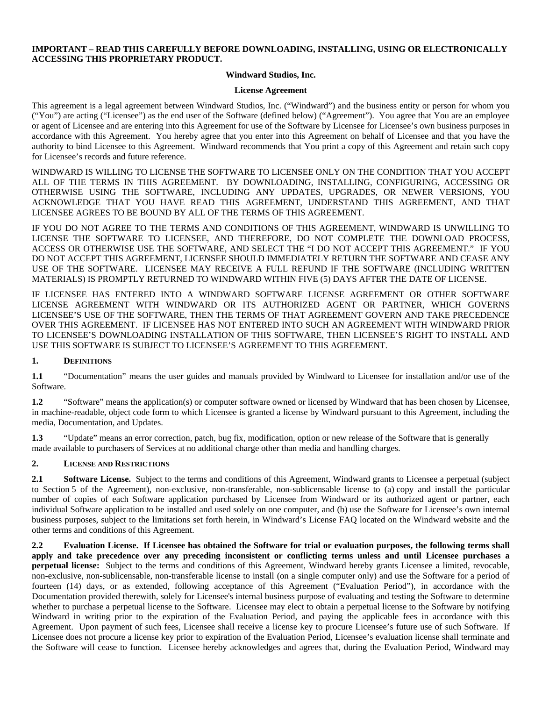### **IMPORTANT – READ THIS CAREFULLY BEFORE DOWNLOADING, INSTALLING, USING OR ELECTRONICALLY ACCESSING THIS PROPRIETARY PRODUCT.**

#### **Windward Studios, Inc.**

#### **License Agreement**

This agreement is a legal agreement between Windward Studios, Inc. ("Windward") and the business entity or person for whom you ("You") are acting ("Licensee") as the end user of the Software (defined below) ("Agreement"). You agree that You are an employee or agent of Licensee and are entering into this Agreement for use of the Software by Licensee for Licensee's own business purposes in accordance with this Agreement. You hereby agree that you enter into this Agreement on behalf of Licensee and that you have the authority to bind Licensee to this Agreement. Windward recommends that You print a copy of this Agreement and retain such copy for Licensee's records and future reference.

WINDWARD IS WILLING TO LICENSE THE SOFTWARE TO LICENSEE ONLY ON THE CONDITION THAT YOU ACCEPT ALL OF THE TERMS IN THIS AGREEMENT. BY DOWNLOADING, INSTALLING, CONFIGURING, ACCESSING OR OTHERWISE USING THE SOFTWARE, INCLUDING ANY UPDATES, UPGRADES, OR NEWER VERSIONS, YOU ACKNOWLEDGE THAT YOU HAVE READ THIS AGREEMENT, UNDERSTAND THIS AGREEMENT, AND THAT LICENSEE AGREES TO BE BOUND BY ALL OF THE TERMS OF THIS AGREEMENT.

IF YOU DO NOT AGREE TO THE TERMS AND CONDITIONS OF THIS AGREEMENT, WINDWARD IS UNWILLING TO LICENSE THE SOFTWARE TO LICENSEE, AND THEREFORE, DO NOT COMPLETE THE DOWNLOAD PROCESS, ACCESS OR OTHERWISE USE THE SOFTWARE, AND SELECT THE "I DO NOT ACCEPT THIS AGREEMENT." IF YOU DO NOT ACCEPT THIS AGREEMENT, LICENSEE SHOULD IMMEDIATELY RETURN THE SOFTWARE AND CEASE ANY USE OF THE SOFTWARE. LICENSEE MAY RECEIVE A FULL REFUND IF THE SOFTWARE (INCLUDING WRITTEN MATERIALS) IS PROMPTLY RETURNED TO WINDWARD WITHIN FIVE (5) DAYS AFTER THE DATE OF LICENSE.

IF LICENSEE HAS ENTERED INTO A WINDWARD SOFTWARE LICENSE AGREEMENT OR OTHER SOFTWARE LICENSE AGREEMENT WITH WINDWARD OR ITS AUTHORIZED AGENT OR PARTNER, WHICH GOVERNS LICENSEE'S USE OF THE SOFTWARE, THEN THE TERMS OF THAT AGREEMENT GOVERN AND TAKE PRECEDENCE OVER THIS AGREEMENT. IF LICENSEE HAS NOT ENTERED INTO SUCH AN AGREEMENT WITH WINDWARD PRIOR TO LICENSEE'S DOWNLOADING INSTALLATION OF THIS SOFTWARE, THEN LICENSEE'S RIGHT TO INSTALL AND USE THIS SOFTWARE IS SUBJECT TO LICENSEE'S AGREEMENT TO THIS AGREEMENT.

## **1. DEFINITIONS**

**1.1** "Documentation" means the user guides and manuals provided by Windward to Licensee for installation and/or use of the Software.

**1.2** "Software" means the application(s) or computer software owned or licensed by Windward that has been chosen by Licensee, in machine-readable, object code form to which Licensee is granted a license by Windward pursuant to this Agreement, including the media, Documentation, and Updates.

**1.3** "Update" means an error correction, patch, bug fix, modification, option or new release of the Software that is generally made available to purchasers of Services at no additional charge other than media and handling charges.

### **2. LICENSE AND RESTRICTIONS**

**2.1 Software License.** Subject to the terms and conditions of this Agreement, Windward grants to Licensee a perpetual (subject to Section 5 of the Agreement), non-exclusive, non-transferable, non-sublicensable license to (a) copy and install the particular number of copies of each Software application purchased by Licensee from Windward or its authorized agent or partner, each individual Software application to be installed and used solely on one computer, and (b) use the Software for Licensee's own internal business purposes, subject to the limitations set forth herein, in Windward's License FAQ located on the Windward website and the other terms and conditions of this Agreement.

**2.2 Evaluation License. If Licensee has obtained the Software for trial or evaluation purposes, the following terms shall apply and take precedence over any preceding inconsistent or conflicting terms unless and until Licensee purchases a perpetual license:** Subject to the terms and conditions of this Agreement, Windward hereby grants Licensee a limited, revocable, non-exclusive, non-sublicensable, non-transferable license to install (on a single computer only) and use the Software for a period of fourteen (14) days, or as extended, following acceptance of this Agreement ("Evaluation Period"), in accordance with the Documentation provided therewith, solely for Licensee's internal business purpose of evaluating and testing the Software to determine whether to purchase a perpetual license to the Software. Licensee may elect to obtain a perpetual license to the Software by notifying Windward in writing prior to the expiration of the Evaluation Period, and paying the applicable fees in accordance with this Agreement. Upon payment of such fees, Licensee shall receive a license key to procure Licensee's future use of such Software. If Licensee does not procure a license key prior to expiration of the Evaluation Period, Licensee's evaluation license shall terminate and the Software will cease to function. Licensee hereby acknowledges and agrees that, during the Evaluation Period, Windward may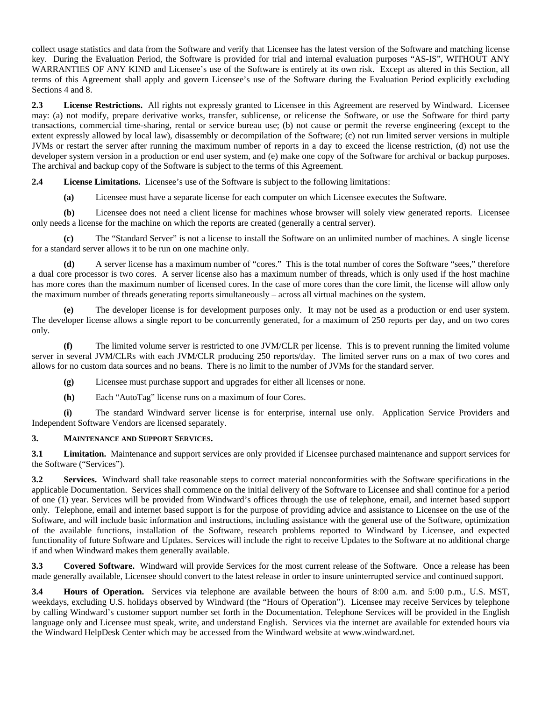collect usage statistics and data from the Software and verify that Licensee has the latest version of the Software and matching license key. During the Evaluation Period, the Software is provided for trial and internal evaluation purposes "AS-IS", WITHOUT ANY WARRANTIES OF ANY KIND and Licensee's use of the Software is entirely at its own risk. Except as altered in this Section, all terms of this Agreement shall apply and govern Licensee's use of the Software during the Evaluation Period explicitly excluding Sections 4 and 8.

**2.3 License Restrictions.** All rights not expressly granted to Licensee in this Agreement are reserved by Windward. Licensee may: (a) not modify, prepare derivative works, transfer, sublicense, or relicense the Software, or use the Software for third party transactions, commercial time-sharing, rental or service bureau use; (b) not cause or permit the reverse engineering (except to the extent expressly allowed by local law), disassembly or decompilation of the Software; (c) not run limited server versions in multiple JVMs or restart the server after running the maximum number of reports in a day to exceed the license restriction, (d) not use the developer system version in a production or end user system, and (e) make one copy of the Software for archival or backup purposes. The archival and backup copy of the Software is subject to the terms of this Agreement.

**2.4 License Limitations.** Licensee's use of the Software is subject to the following limitations:

**(a)** Licensee must have a separate license for each computer on which Licensee executes the Software.

**(b)** Licensee does not need a client license for machines whose browser will solely view generated reports. Licensee only needs a license for the machine on which the reports are created (generally a central server).

**(c)** The "Standard Server" is not a license to install the Software on an unlimited number of machines. A single license for a standard server allows it to be run on one machine only.

**(d)** A server license has a maximum number of "cores." This is the total number of cores the Software "sees," therefore a dual core processor is two cores. A server license also has a maximum number of threads, which is only used if the host machine has more cores than the maximum number of licensed cores. In the case of more cores than the core limit, the license will allow only the maximum number of threads generating reports simultaneously – across all virtual machines on the system.

**(e)** The developer license is for development purposes only. It may not be used as a production or end user system. The developer license allows a single report to be concurrently generated, for a maximum of 250 reports per day, and on two cores only.

**(f)** The limited volume server is restricted to one JVM/CLR per license. This is to prevent running the limited volume server in several JVM/CLRs with each JVM/CLR producing 250 reports/day. The limited server runs on a max of two cores and allows for no custom data sources and no beans. There is no limit to the number of JVMs for the standard server.

**(g)** Licensee must purchase support and upgrades for either all licenses or none.

**(h)** Each "AutoTag" license runs on a maximum of four Cores.

**(i)** The standard Windward server license is for enterprise, internal use only. Application Service Providers and Independent Software Vendors are licensed separately.

### **3. MAINTENANCE AND SUPPORT SERVICES.**

**3.1 Limitation.** Maintenance and support services are only provided if Licensee purchased maintenance and support services for the Software ("Services").

**3.2 Services.** Windward shall take reasonable steps to correct material nonconformities with the Software specifications in the applicable Documentation. Services shall commence on the initial delivery of the Software to Licensee and shall continue for a period of one (1) year. Services will be provided from Windward's offices through the use of telephone, email, and internet based support only. Telephone, email and internet based support is for the purpose of providing advice and assistance to Licensee on the use of the Software, and will include basic information and instructions, including assistance with the general use of the Software, optimization of the available functions, installation of the Software, research problems reported to Windward by Licensee, and expected functionality of future Software and Updates. Services will include the right to receive Updates to the Software at no additional charge if and when Windward makes them generally available.

**3.3 Covered Software.** Windward will provide Services for the most current release of the Software. Once a release has been made generally available, Licensee should convert to the latest release in order to insure uninterrupted service and continued support.

**3.4 Hours of Operation.** Services via telephone are available between the hours of 8:00 a.m. and 5:00 p.m., U.S. MST, weekdays, excluding U.S. holidays observed by Windward (the "Hours of Operation"). Licensee may receive Services by telephone by calling Windward's customer support number set forth in the Documentation. Telephone Services will be provided in the English language only and Licensee must speak, write, and understand English. Services via the internet are available for extended hours via the Windward HelpDesk Center which may be accessed from the Windward website at www.windward.net.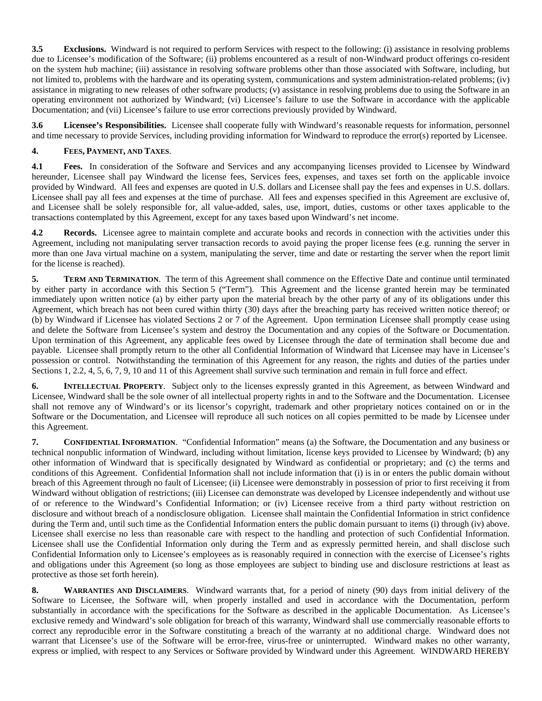**3.5 Exclusions.** Windward is not required to perform Services with respect to the following: (i) assistance in resolving problems due to Licensee's modification of the Software; (ii) problems encountered as a result of non-Windward product offerings co-resident on the system hub machine; (iii) assistance in resolving software problems other than those associated with Software, including, but not limited to, problems with the hardware and its operating system, communications and system administration-related problems; (iv) assistance in migrating to new releases of other software products; (v) assistance in resolving problems due to using the Software in an operating environment not authorized by Windward; (vi) Licensee's failure to use the Software in accordance with the applicable Documentation; and (vii) Licensee's failure to use error corrections previously provided by Windward.

**3.6 Licensee's Responsibilities.** Licensee shall cooperate fully with Windward's reasonable requests for information, personnel and time necessary to provide Services, including providing information for Windward to reproduce the error(s) reported by Licensee.

# **4. FEES, PAYMENT, AND TAXES**.

**4.1 Fees.** In consideration of the Software and Services and any accompanying licenses provided to Licensee by Windward hereunder, Licensee shall pay Windward the license fees, Services fees, expenses, and taxes set forth on the applicable invoice provided by Windward. All fees and expenses are quoted in U.S. dollars and Licensee shall pay the fees and expenses in U.S. dollars. Licensee shall pay all fees and expenses at the time of purchase. All fees and expenses specified in this Agreement are exclusive of, and Licensee shall be solely responsible for, all value-added, sales, use, import, duties, customs or other taxes applicable to the transactions contemplated by this Agreement, except for any taxes based upon Windward's net income.

**4.2 Records.** Licensee agree to maintain complete and accurate books and records in connection with the activities under this Agreement, including not manipulating server transaction records to avoid paying the proper license fees (e.g. running the server in more than one Java virtual machine on a system, manipulating the server, time and date or restarting the server when the report limit for the license is reached).

**5. TERM AND TERMINATION**. The term of this Agreement shall commence on the Effective Date and continue until terminated by either party in accordance with this Section 5 ("Term").This Agreement and the license granted herein may be terminated immediately upon written notice (a) by either party upon the material breach by the other party of any of its obligations under this Agreement, which breach has not been cured within thirty (30) days after the breaching party has received written notice thereof; or (b) by Windward if Licensee has violated Sections 2 or 7 of the Agreement. Upon termination Licensee shall promptly cease using and delete the Software from Licensee's system and destroy the Documentation and any copies of the Software or Documentation. Upon termination of this Agreement, any applicable fees owed by Licensee through the date of termination shall become due and payable. Licensee shall promptly return to the other all Confidential Information of Windward that Licensee may have in Licensee's possession or control. Notwithstanding the termination of this Agreement for any reason, the rights and duties of the parties under Sections 1, 2.2, 4, 5, 6, 7, 9, 10 and 11 of this Agreement shall survive such termination and remain in full force and effect.

**6. INTELLECTUAL PROPERTY**. Subject only to the licenses expressly granted in this Agreement, as between Windward and Licensee, Windward shall be the sole owner of all intellectual property rights in and to the Software and the Documentation. Licensee shall not remove any of Windward's or its licensor's copyright, trademark and other proprietary notices contained on or in the Software or the Documentation, and Licensee will reproduce all such notices on all copies permitted to be made by Licensee under this Agreement.

**7. CONFIDENTIAL INFORMATION**. "Confidential Information" means (a) the Software, the Documentation and any business or technical nonpublic information of Windward, including without limitation, license keys provided to Licensee by Windward; (b) any other information of Windward that is specifically designated by Windward as confidential or proprietary; and (c) the terms and conditions of this Agreement. Confidential Information shall not include information that (i) is in or enters the public domain without breach of this Agreement through no fault of Licensee; (ii) Licensee were demonstrably in possession of prior to first receiving it from Windward without obligation of restrictions; (iii) Licensee can demonstrate was developed by Licensee independently and without use of or reference to the Windward's Confidential Information; or (iv) Licensee receive from a third party without restriction on disclosure and without breach of a nondisclosure obligation.Licensee shall maintain the Confidential Information in strict confidence during the Term and, until such time as the Confidential Information enters the public domain pursuant to items (i) through (iv) above. Licensee shall exercise no less than reasonable care with respect to the handling and protection of such Confidential Information. Licensee shall use the Confidential Information only during the Term and as expressly permitted herein, and shall disclose such Confidential Information only to Licensee's employees as is reasonably required in connection with the exercise of Licensee's rights and obligations under this Agreement (so long as those employees are subject to binding use and disclosure restrictions at least as protective as those set forth herein).

**8. WARRANTIES AND DISCLAIMERS**. Windward warrants that, for a period of ninety (90) days from initial delivery of the Software to Licensee, the Software will, when properly installed and used in accordance with the Documentation, perform substantially in accordance with the specifications for the Software as described in the applicable Documentation. As Licensee's exclusive remedy and Windward's sole obligation for breach of this warranty, Windward shall use commercially reasonable efforts to correct any reproducible error in the Software constituting a breach of the warranty at no additional charge. Windward does not warrant that Licensee's use of the Software will be error-free, virus-free or uninterrupted. Windward makes no other warranty, express or implied, with respect to any Services or Software provided by Windward under this Agreement. WINDWARD HEREBY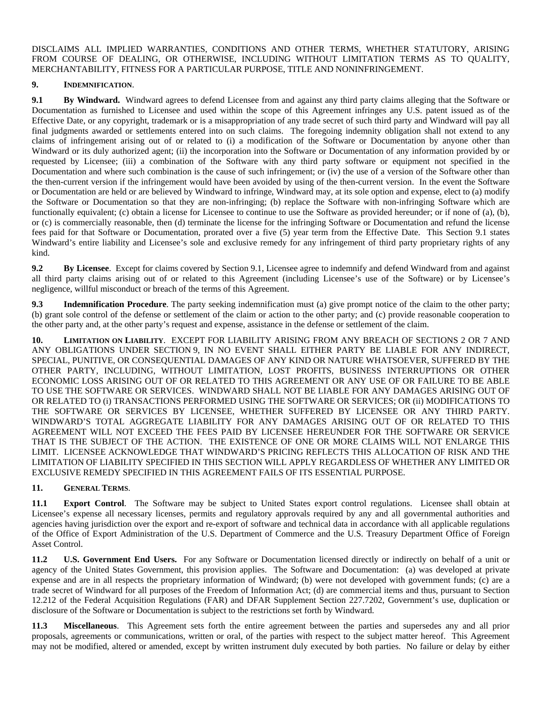DISCLAIMS ALL IMPLIED WARRANTIES, CONDITIONS AND OTHER TERMS, WHETHER STATUTORY, ARISING FROM COURSE OF DEALING, OR OTHERWISE, INCLUDING WITHOUT LIMITATION TERMS AS TO QUALITY, MERCHANTABILITY, FITNESS FOR A PARTICULAR PURPOSE, TITLE AND NONINFRINGEMENT.

## **9. INDEMNIFICATION**.

**9.1 By Windward.** Windward agrees to defend Licensee from and against any third party claims alleging that the Software or Documentation as furnished to Licensee and used within the scope of this Agreement infringes any U.S. patent issued as of the Effective Date, or any copyright, trademark or is a misappropriation of any trade secret of such third party and Windward will pay all final judgments awarded or settlements entered into on such claims. The foregoing indemnity obligation shall not extend to any claims of infringement arising out of or related to (i) a modification of the Software or Documentation by anyone other than Windward or its duly authorized agent; (ii) the incorporation into the Software or Documentation of any information provided by or requested by Licensee; (iii) a combination of the Software with any third party software or equipment not specified in the Documentation and where such combination is the cause of such infringement; or (iv) the use of a version of the Software other than the then-current version if the infringement would have been avoided by using of the then-current version. In the event the Software or Documentation are held or are believed by Windward to infringe, Windward may, at its sole option and expense, elect to (a) modify the Software or Documentation so that they are non-infringing; (b) replace the Software with non-infringing Software which are functionally equivalent; (c) obtain a license for Licensee to continue to use the Software as provided hereunder; or if none of (a), (b), or (c) is commercially reasonable, then (d) terminate the license for the infringing Software or Documentation and refund the license fees paid for that Software or Documentation, prorated over a five (5) year term from the Effective Date. This Section 9.1 states Windward's entire liability and Licensee's sole and exclusive remedy for any infringement of third party proprietary rights of any kind.

**9.2 By Licensee**. Except for claims covered by Section 9.1, Licensee agree to indemnify and defend Windward from and against all third party claims arising out of or related to this Agreement (including Licensee's use of the Software) or by Licensee's negligence, willful misconduct or breach of the terms of this Agreement.

**9.3 Indemnification Procedure**. The party seeking indemnification must (a) give prompt notice of the claim to the other party; (b) grant sole control of the defense or settlement of the claim or action to the other party; and (c) provide reasonable cooperation to the other party and, at the other party's request and expense, assistance in the defense or settlement of the claim.

**10. LIMITATION ON LIABILITY**. EXCEPT FOR LIABILITY ARISING FROM ANY BREACH OF SECTIONS 2 OR 7 AND ANY OBLIGATIONS UNDER SECTION 9, IN NO EVENT SHALL EITHER PARTY BE LIABLE FOR ANY INDIRECT, SPECIAL, PUNITIVE, OR CONSEQUENTIAL DAMAGES OF ANY KIND OR NATURE WHATSOEVER, SUFFERED BY THE OTHER PARTY, INCLUDING, WITHOUT LIMITATION, LOST PROFITS, BUSINESS INTERRUPTIONS OR OTHER ECONOMIC LOSS ARISING OUT OF OR RELATED TO THIS AGREEMENT OR ANY USE OF OR FAILURE TO BE ABLE TO USE THE SOFTWARE OR SERVICES. WINDWARD SHALL NOT BE LIABLE FOR ANY DAMAGES ARISING OUT OF OR RELATED TO (i) TRANSACTIONS PERFORMED USING THE SOFTWARE OR SERVICES; OR (ii) MODIFICATIONS TO THE SOFTWARE OR SERVICES BY LICENSEE, WHETHER SUFFERED BY LICENSEE OR ANY THIRD PARTY. WINDWARD'S TOTAL AGGREGATE LIABILITY FOR ANY DAMAGES ARISING OUT OF OR RELATED TO THIS AGREEMENT WILL NOT EXCEED THE FEES PAID BY LICENSEE HEREUNDER FOR THE SOFTWARE OR SERVICE THAT IS THE SUBJECT OF THE ACTION. THE EXISTENCE OF ONE OR MORE CLAIMS WILL NOT ENLARGE THIS LIMIT. LICENSEE ACKNOWLEDGE THAT WINDWARD'S PRICING REFLECTS THIS ALLOCATION OF RISK AND THE LIMITATION OF LIABILITY SPECIFIED IN THIS SECTION WILL APPLY REGARDLESS OF WHETHER ANY LIMITED OR EXCLUSIVE REMEDY SPECIFIED IN THIS AGREEMENT FAILS OF ITS ESSENTIAL PURPOSE.

# **11. GENERAL TERMS**.

**11.1 Export Control**. The Software may be subject to United States export control regulations. Licensee shall obtain at Licensee's expense all necessary licenses, permits and regulatory approvals required by any and all governmental authorities and agencies having jurisdiction over the export and re-export of software and technical data in accordance with all applicable regulations of the Office of Export Administration of the U.S. Department of Commerce and the U.S. Treasury Department Office of Foreign Asset Control.

**11.2 U.S. Government End Users.** For any Software or Documentation licensed directly or indirectly on behalf of a unit or agency of the United States Government, this provision applies. The Software and Documentation: (a) was developed at private expense and are in all respects the proprietary information of Windward; (b) were not developed with government funds; (c) are a trade secret of Windward for all purposes of the Freedom of Information Act; (d) are commercial items and thus, pursuant to Section 12.212 of the Federal Acquisition Regulations (FAR) and DFAR Supplement Section 227.7202, Government's use, duplication or disclosure of the Software or Documentation is subject to the restrictions set forth by Windward.

**11.3 Miscellaneous**. This Agreement sets forth the entire agreement between the parties and supersedes any and all prior proposals, agreements or communications, written or oral, of the parties with respect to the subject matter hereof. This Agreement may not be modified, altered or amended, except by written instrument duly executed by both parties. No failure or delay by either